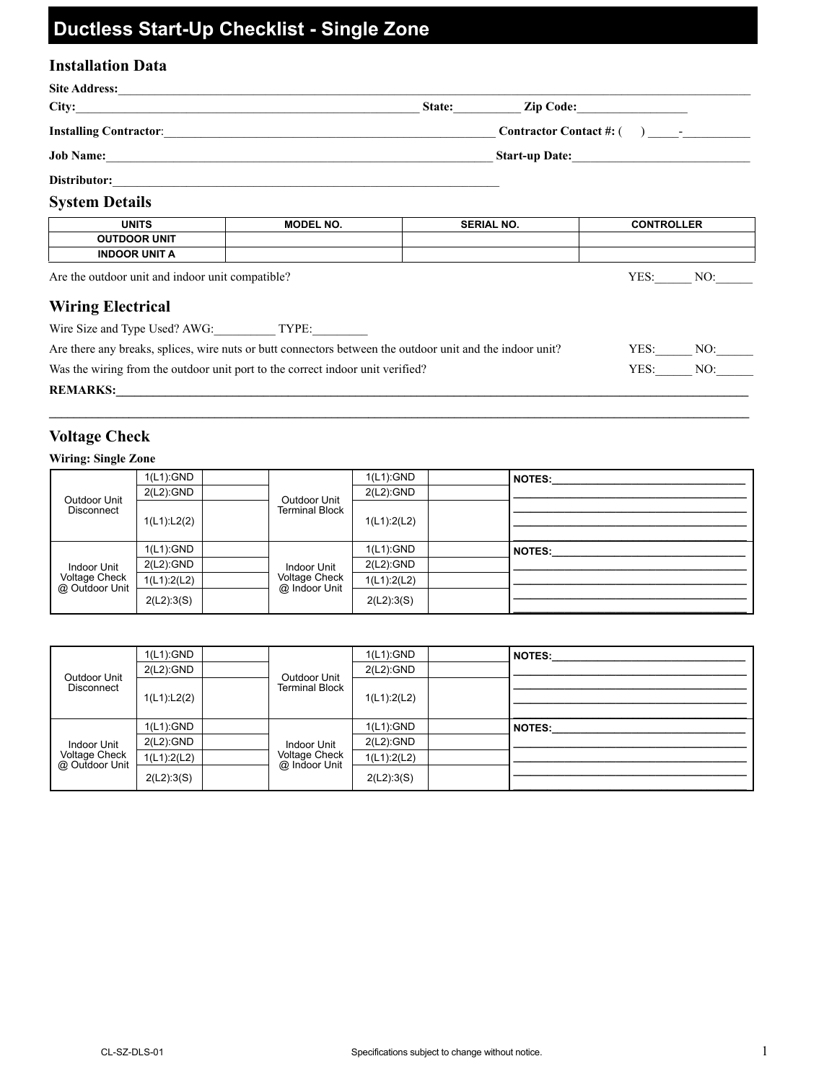# **Ductless Start-Up Checklist - Single Zone**

# **Installation Data**

| City:                                                                                                     |                                                                                                                         | State:            | Zip Code:                     |     |
|-----------------------------------------------------------------------------------------------------------|-------------------------------------------------------------------------------------------------------------------------|-------------------|-------------------------------|-----|
| <b>Installing Contractor:</b>                                                                             |                                                                                                                         |                   | Contractor Contact #: $($ ) - |     |
|                                                                                                           |                                                                                                                         |                   | Start-up Date:                |     |
|                                                                                                           |                                                                                                                         |                   |                               |     |
| <b>System Details</b>                                                                                     |                                                                                                                         |                   |                               |     |
| <b>UNITS</b>                                                                                              | <b>MODEL NO.</b>                                                                                                        | <b>SERIAL NO.</b> | <b>CONTROLLER</b>             |     |
| <b>OUTDOOR UNIT</b>                                                                                       |                                                                                                                         |                   |                               |     |
| <b>INDOOR UNIT A</b>                                                                                      |                                                                                                                         |                   |                               |     |
| Are the outdoor unit and indoor unit compatible?                                                          |                                                                                                                         |                   | YES:                          | NO: |
| <b>Wiring Electrical</b>                                                                                  |                                                                                                                         |                   |                               |     |
| Wire Size and Type Used? AWG: TYPE:                                                                       |                                                                                                                         |                   |                               |     |
| Are there any breaks, splices, wire nuts or butt connectors between the outdoor unit and the indoor unit? |                                                                                                                         |                   | YES:                          | NO: |
| Was the wiring from the outdoor unit port to the correct indoor unit verified?                            |                                                                                                                         |                   | YES:                          | NO: |
| <b>REMARKS:</b>                                                                                           | <u> 1989 - Johann John Stein, markin fan it fjort fan it fjort fan it fjort fan it fjort fan it fjort fan it fjort </u> |                   |                               |     |

## **Voltage Check**

## **Wiring: Single Zone**

|                                   | 1(L1):GND     |  | Outdoor Unit                   | 1(L1):GND     | <b>NOTES:</b> |
|-----------------------------------|---------------|--|--------------------------------|---------------|---------------|
| Outdoor Unit<br><b>Disconnect</b> | $2(L2)$ : GND |  |                                | $2(L2)$ :GND  |               |
|                                   | 1(L1):L2(2)   |  | Terminal Block                 | 1(L1):2(L2)   |               |
|                                   |               |  |                                |               |               |
|                                   |               |  |                                |               |               |
|                                   | 1(L1):GND     |  |                                | 1(L1):GND     | <b>NOTES:</b> |
| Indoor Unit                       | $2(L2)$ :GND  |  | Indoor Unit                    | $2(L2)$ : GND |               |
| Voltage Check<br>@ Outdoor Unit   | 1(L1):2(L2)   |  | Voltage Check<br>@ Indoor Unit | 1(L1):2(L2)   |               |
|                                   | 2(L2):3(S)    |  |                                | 2(L2):3(S)    |               |

|                                                | 1(L1):GND    |  | Outdoor Unit                                  | 1(L1):GND     | <b>NOTES:</b> |
|------------------------------------------------|--------------|--|-----------------------------------------------|---------------|---------------|
| Outdoor Unit<br><b>Disconnect</b>              | $2(L2)$ :GND |  |                                               | $2(L2)$ : GND |               |
|                                                | 1(L1):L2(2)  |  | Terminal Block                                | 1(L1):2(L2)   |               |
|                                                |              |  |                                               |               |               |
|                                                |              |  |                                               |               |               |
| Indoor Unit<br>Voltage Check<br>@ Outdoor Unit | 1(L1):GND    |  | Indoor Unit<br>Voltage Check<br>@ Indoor Unit | 1(L1):GND     | <b>NOTES:</b> |
|                                                | 2(L2):GND    |  |                                               | $2(L2)$ : GND |               |
|                                                | 1(L1):2(L2)  |  |                                               | 1(L1):2(L2)   |               |
|                                                | 2(L2):3(S)   |  |                                               | 2(L2):3(S)    |               |